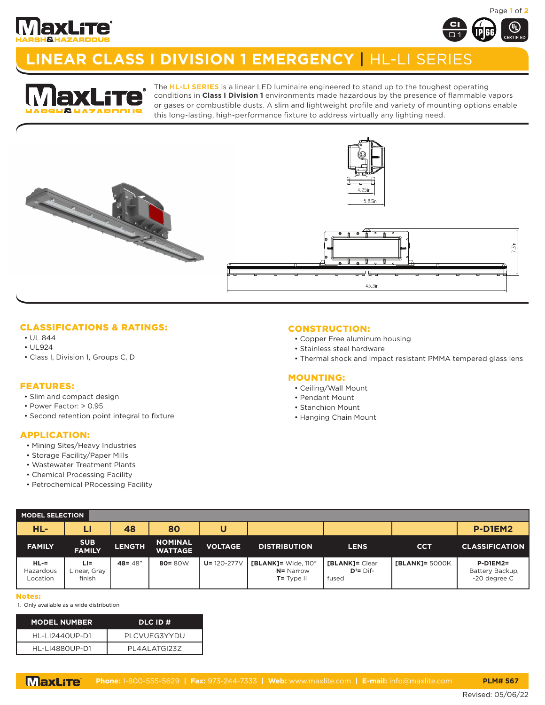



# **LINEAR CLASS I DIVISION 1 EMERGENCY** | HL-LI SERIES



The **HL-LI SERIES** is a linear LED luminaire engineered to stand up to the toughest operating conditions in **Class I Division 1** environments made hazardous by the presence of flammable vapors or gases or combustible dusts. A slim and lightweight profile and variety of mounting options enable this long-lasting, high-performance fixture to address virtually any lighting need.



## CLASSIFICATIONS & RATINGS:

- UL 844
- UL924
- Class I, Division 1, Groups C, D

#### FEATURES:

- Slim and compact design
- Power Factor: > 0.95
- Second retention point integral to fixture

### APPLICATION:

- Mining Sites/Heavy Industries
- Storage Facility/Paper Mills
- Wastewater Treatment Plants
- Chemical Processing Facility
- Petrochemical PRocessing Facility

### CONSTRUCTION:

- Copper Free aluminum housing
- Stainless steel hardware
- Thermal shock and impact resistant PMMA tempered glass lens

#### MOUNTING:

- Ceiling/Wall Mount
- Pendant Mount
- Stanchion Mount
- Hanging Chain Mount

| <b>MODEL SELECTION</b>        |                               |               |                                  |                  |                                                                    |                                          |                |                                               |
|-------------------------------|-------------------------------|---------------|----------------------------------|------------------|--------------------------------------------------------------------|------------------------------------------|----------------|-----------------------------------------------|
| HL-                           | ы                             | 48            | 80                               | U                |                                                                    |                                          |                | P-D1EM2                                       |
| <b>FAMILY</b>                 | <b>SUB</b><br><b>FAMILY</b>   | <b>LENGTH</b> | <b>NOMINAL</b><br><b>WATTAGE</b> | <b>VOLTAGE</b>   | <b>DISTRIBUTION</b>                                                | <b>LENS</b>                              | <b>CCT</b>     | <b>CLASSIFICATION</b>                         |
| HL-=<br>Hazardous<br>Location | LI=<br>Linear, Gray<br>finish | $48 = 48"$    | $80 = 80W$                       | $U = 120 - 277V$ | $[BLANK] = Wide, 110^{\circ}$<br><b>N=</b> Narrow<br>$T = Type II$ | [BLANK]= Clear<br>$D^1 = D$ if-<br>fused | [BLANK]= 5000K | $P-D1EM2=$<br>Battery Backup,<br>-20 degree C |

#### Notes:

1. Only available as a wide distribution

| <b>MODEL NUMBER</b> | DLC ID #            |
|---------------------|---------------------|
| HL-LI2440UP-D1      | PLCVUFG3YYDU        |
| HI-114880UP-D1      | <b>PL4ALATGI237</b> |